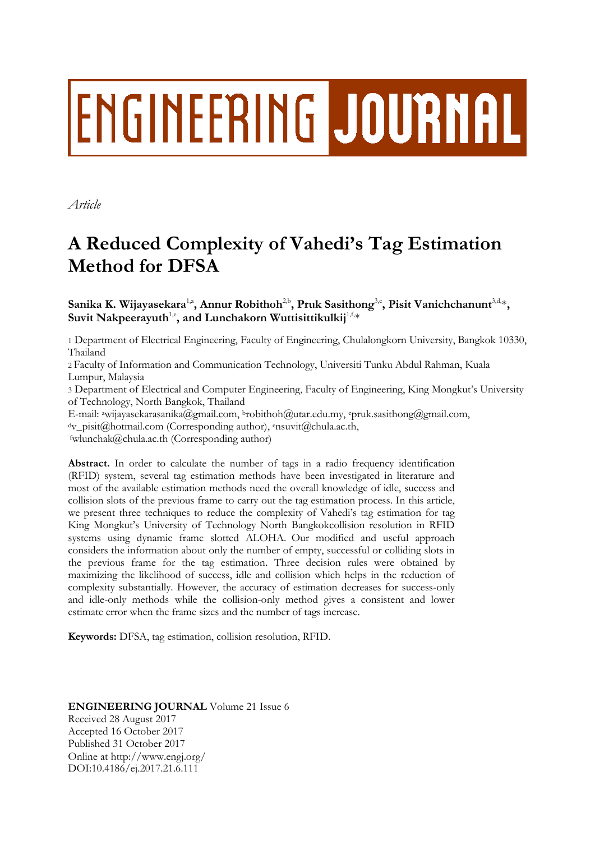# ENGINEERING JOURNAL

*Article*

# **A Reduced Complexity of Vahedi's Tag Estimation Method for DFSA**

 $\mathbf{S}$ anika K. Wijayasekara<sup>1,a</sup>, Annur Robithoh<sup>2,b</sup>, Pruk Sasithong<sup>3,c</sup>, Pisit Vanichchanunt<sup>3,d,</sup>\*,  $\mathbf{S}$ uvit  $\mathbf{N}$ akpeerayuth<sup>1,e</sup>, and Lunchakorn  $\mathbf{W}$ uttisittikulkij $^{1, \mathrm{f}, \mathrm{s}}$ 

1 Department of Electrical Engineering, Faculty of Engineering, Chulalongkorn University, Bangkok 10330, Thailand

2 Faculty of Information and Communication Technology, Universiti Tunku Abdul Rahman, Kuala Lumpur, Malaysia

3 Department of Electrical and Computer Engineering, Faculty of Engineering, King Mongkut's University of Technology, North Bangkok, Thailand

E-mail: <sup>a</sup>wijayasekarasanika@gmail.com, <sup>b</sup>robithoh@utar.edu.my, <sup>c</sup>pruk.sasithong@gmail.com,

<sup>d</sup>v\_pisit@hotmail.com (Corresponding author), <sup>e</sup>nsuvit@chula.ac.th,

<sup>f</sup>wlunchak@chula.ac.th (Corresponding author)

**Abstract.** In order to calculate the number of tags in a radio frequency identification (RFID) system, several tag estimation methods have been investigated in literature and most of the available estimation methods need the overall knowledge of idle, success and collision slots of the previous frame to carry out the tag estimation process. In this article, we present three techniques to reduce the complexity of Vahedi's tag estimation for tag King Mongkut's University of Technology North Bangkokcollision resolution in RFID systems using dynamic frame slotted ALOHA. Our modified and useful approach considers the information about only the number of empty, successful or colliding slots in the previous frame for the tag estimation. Three decision rules were obtained by maximizing the likelihood of success, idle and collision which helps in the reduction of complexity substantially. However, the accuracy of estimation decreases for success-only and idle-only methods while the collision-only method gives a consistent and lower estimate error when the frame sizes and the number of tags increase.

**Keywords:** DFSA, tag estimation, collision resolution, RFID.

# **ENGINEERING JOURNAL** Volume 21 Issue 6 Received 28 August 2017 Accepted 16 October 2017 Published 31 October 2017 Online at http://www.engj.org/ DOI:10.4186/ej.2017.21.6.111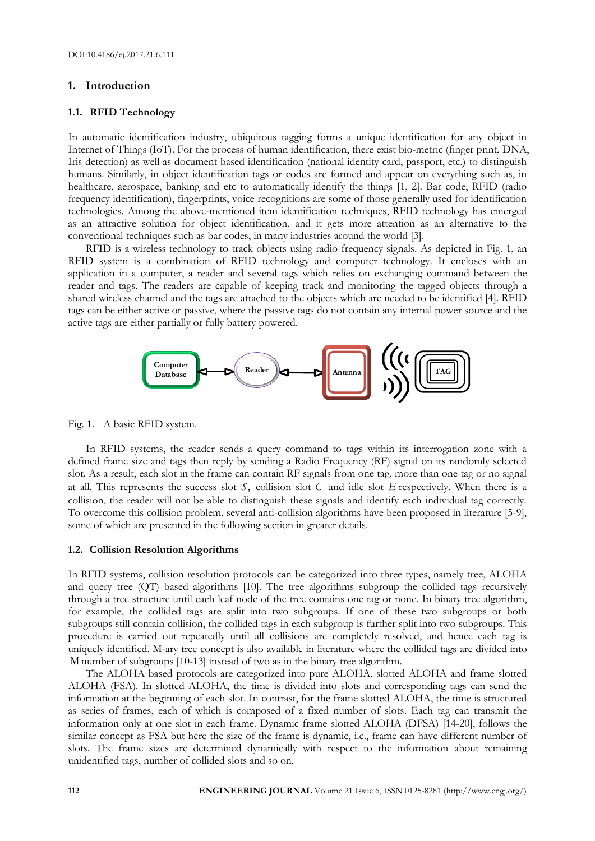### **1. Introduction**

#### **1.1. RFID Technology**

In automatic identification industry, ubiquitous tagging forms a unique identification for any object in Internet of Things (IoT). For the process of human identification, there exist bio-metric (finger print, DNA, Iris detection) as well as document based identification (national identity card, passport, etc.) to distinguish humans. Similarly, in object identification tags or codes are formed and appear on everything such as, in healthcare, aerospace, banking and etc to automatically identify the things [1, 2]. Bar code, RFID (radio frequency identification), fingerprints, voice recognitions are some of those generally used for identification technologies. Among the above-mentioned item identification techniques, RFID technology has emerged as an attractive solution for object identification, and it gets more attention as an alternative to the conventional techniques such as bar codes, in many industries around the world [3].

RFID is a wireless technology to track objects using radio frequency signals. As depicted in Fig. 1, an RFID system is a combination of RFID technology and computer technology. It encloses with an application in a computer, a reader and several tags which relies on exchanging command between the reader and tags. The readers are capable of keeping track and monitoring the tagged objects through a shared wireless channel and the tags are attached to the objects which are needed to be identified [4]. RFID tags can be either active or passive, where the passive tags do not contain any internal power source and the active tags are either partially or fully battery powered.



Fig. 1. A basic RFID system.

In RFID systems, the reader sends a query command to tags within its interrogation zone with a defined frame size and tags then reply by sending a Radio Frequency (RF) signal on its randomly selected slot. As a result, each slot in the frame can contain RF signals from one tag, more than one tag or no signal at all. This represents the success slot *S*, collision slot *C* and idle slot *E* respectively. When there is a collision, the reader will not be able to distinguish these signals and identify each individual tag correctly. To overcome this collision problem, several anti-collision algorithms have been proposed in literature [5-9], some of which are presented in the following section in greater details.

#### **1.2. Collision Resolution Algorithms**

In RFID systems, collision resolution protocols can be categorized into three types, namely tree, ALOHA and query tree (QT) based algorithms [10]. The tree algorithms subgroup the collided tags recursively through a tree structure until each leaf node of the tree contains one tag or none. In binary tree algorithm, for example, the collided tags are split into two subgroups. If one of these two subgroups or both subgroups still contain collision, the collided tags in each subgroup is further split into two subgroups. This procedure is carried out repeatedly until all collisions are completely resolved, and hence each tag is uniquely identified. M-ary tree concept is also available in literature where the collided tags are divided into M number of subgroups [10-13] instead of two as in the binary tree algorithm.

The ALOHA based protocols are categorized into pure ALOHA, slotted ALOHA and frame slotted ALOHA (FSA). In slotted ALOHA, the time is divided into slots and corresponding tags can send the information at the beginning of each slot. In contrast, for the frame slotted ALOHA, the time is structured as series of frames, each of which is composed of a fixed number of slots. Each tag can transmit the information only at one slot in each frame. Dynamic frame slotted ALOHA (DFSA) [14-20], follows the similar concept as FSA but here the size of the frame is dynamic, i.e., frame can have different number of slots. The frame sizes are determined dynamically with respect to the information about remaining unidentified tags, number of collided slots and so on.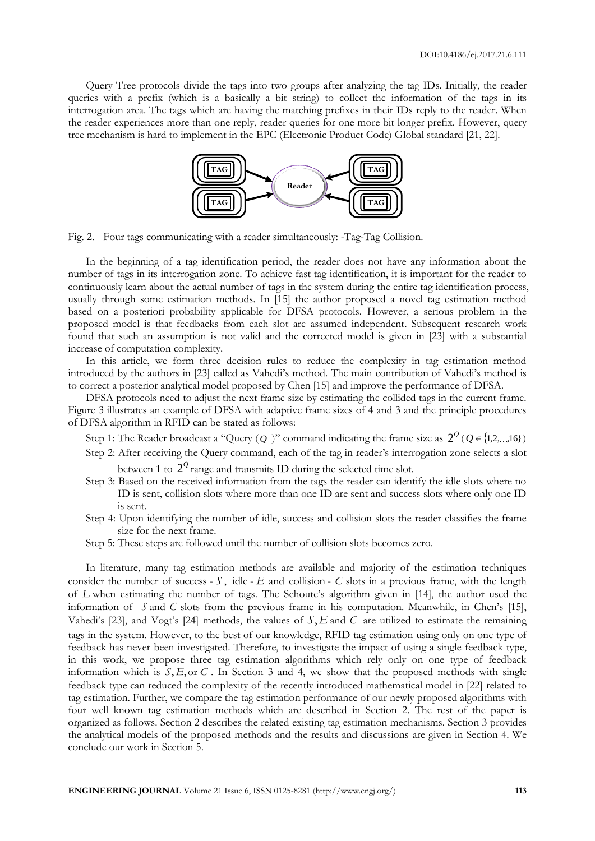Query Tree protocols divide the tags into two groups after analyzing the tag IDs. Initially, the reader queries with a prefix (which is a basically a bit string) to collect the information of the tags in its interrogation area. The tags which are having the matching prefixes in their IDs reply to the reader. When the reader experiences more than one reply, reader queries for one more bit longer prefix. However, query tree mechanism is hard to implement in the EPC (Electronic Product Code) Global standard [21, 22].



Fig. 2. Four tags communicating with a reader simultaneously: -Tag-Tag Collision.

In the beginning of a tag identification period, the reader does not have any information about the number of tags in its interrogation zone. To achieve fast tag identification, it is important for the reader to continuously learn about the actual number of tags in the system during the entire tag identification process, usually through some estimation methods. In [15] the author proposed a novel tag estimation method based on a posteriori probability applicable for DFSA protocols. However, a serious problem in the proposed model is that feedbacks from each slot are assumed independent. Subsequent research work found that such an assumption is not valid and the corrected model is given in [23] with a substantial increase of computation complexity.

In this article, we form three decision rules to reduce the complexity in tag estimation method introduced by the authors in [23] called as Vahedi's method. The main contribution of Vahedi's method is to correct a posterior analytical model proposed by Chen [15] and improve the performance of DFSA.

DFSA protocols need to adjust the next frame size by estimating the collided tags in the current frame. Figure 3 illustrates an example of DFSA with adaptive frame sizes of 4 and 3 and the principle procedures of DFSA algorithm in RFID can be stated as follows:

- Step 1: The Reader broadcast a "Query (*Q*)" command indicating the frame size as  $2^{\mathcal{Q}}$  (*Q*  $\in$  {1,2,...,16})
- Step 2: After receiving the Query command, each of the tag in reader's interrogation zone selects a slot between 1 to  $2^{\mathcal{Q}}$  range and transmits ID during the selected time slot.
- Step 3: Based on the received information from the tags the reader can identify the idle slots where no ID is sent, collision slots where more than one ID are sent and success slots where only one ID is sent.
- Step 4: Upon identifying the number of idle, success and collision slots the reader classifies the frame size for the next frame.
- Step 5: These steps are followed until the number of collision slots becomes zero.

In literature, many tag estimation methods are available and majority of the estimation techniques consider the number of success -  $S$ , idle -  $E$  and collision -  $C$  slots in a previous frame, with the length of *L* when estimating the number of tags. The Schoute's algorithm given in [14], the author used the information of *S* and *C* slots from the previous frame in his computation. Meanwhile, in Chen's [15], Vahedi's [23], and Vogt's [24] methods, the values of  $S$ ,  $E$  and  $C$  are utilized to estimate the remaining tags in the system. However, to the best of our knowledge, RFID tag estimation using only on one type of feedback has never been investigated. Therefore, to investigate the impact of using a single feedback type, in this work, we propose three tag estimation algorithms which rely only on one type of feedback information which is  $S, E,$  or  $C$ . In Section 3 and 4, we show that the proposed methods with single feedback type can reduced the complexity of the recently introduced mathematical model in [22] related to tag estimation. Further, we compare the tag estimation performance of our newly proposed algorithms with four well known tag estimation methods which are described in Section 2. The rest of the paper is organized as follows. Section 2 describes the related existing tag estimation mechanisms. Section 3 provides the analytical models of the proposed methods and the results and discussions are given in Section 4. We conclude our work in Section 5.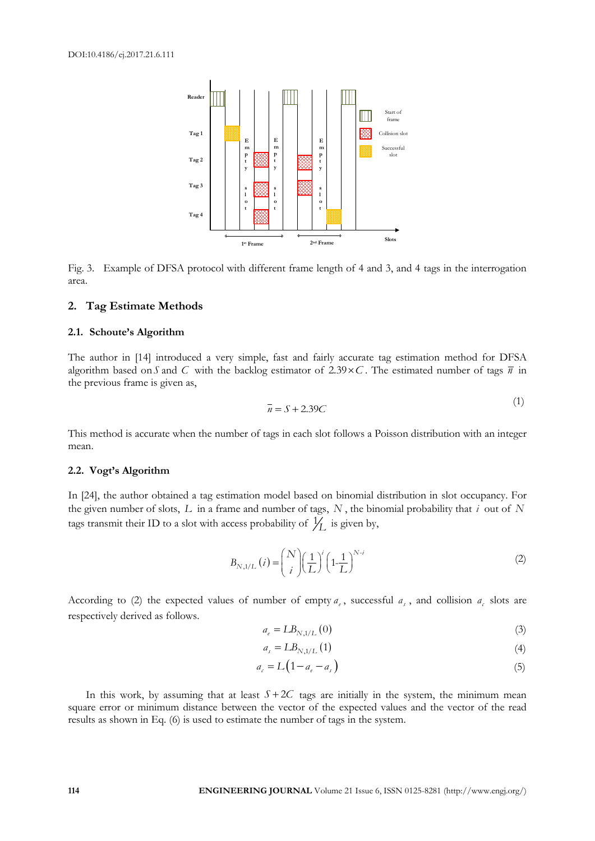

Fig. 3. Example of DFSA protocol with different frame length of 4 and 3, and 4 tags in the interrogation area.

#### **2. Tag Estimate Methods**

#### **2.1. Schoute's Algorithm**

The author in [14] introduced a very simple, fast and fairly accurate tag estimation method for DFSA algorithm based on S and C with the backlog estimator of  $2.39 \times C$ . The estimated number of tags  $\bar{n}$  in the previous frame is given as,

$$
\overline{n} = S + 2.39C\tag{1}
$$

This method is accurate when the number of tags in each slot follows a Poisson distribution with an integer mean.

#### **2.2. Vogt's Algorithm**

In [24], the author obtained a tag estimation model based on binomial distribution in slot occupancy. For the given number of slots, *L* in a frame and number of tags, *N* , the binomial probability that *i* out of *N* tags transmit their ID to a slot with access probability of  $\frac{1}{L}$  is given by,

$$
B_{N,1/L}(i) = {N \choose i} \left(\frac{1}{L}\right)^i \left(1 - \frac{1}{L}\right)^{N-i}
$$
 (2)

According to (2) the expected values of number of empty  $a_e$ , successful  $a_s$ , and collision  $a_e$  slots are respectively derived as follows.

$$
a_e = L B_{N,1/L} (0) \tag{3}
$$

$$
a_s = L B_{N,1/L} \tag{4}
$$

$$
a_{c} = L\left(1 - a_{e} - a_{s}\right) \tag{5}
$$

In this work, by assuming that at least  $S + 2C$  tags are initially in the system, the minimum mean square error or minimum distance between the vector of the expected values and the vector of the read results as shown in Eq. (6) is used to estimate the number of tags in the system.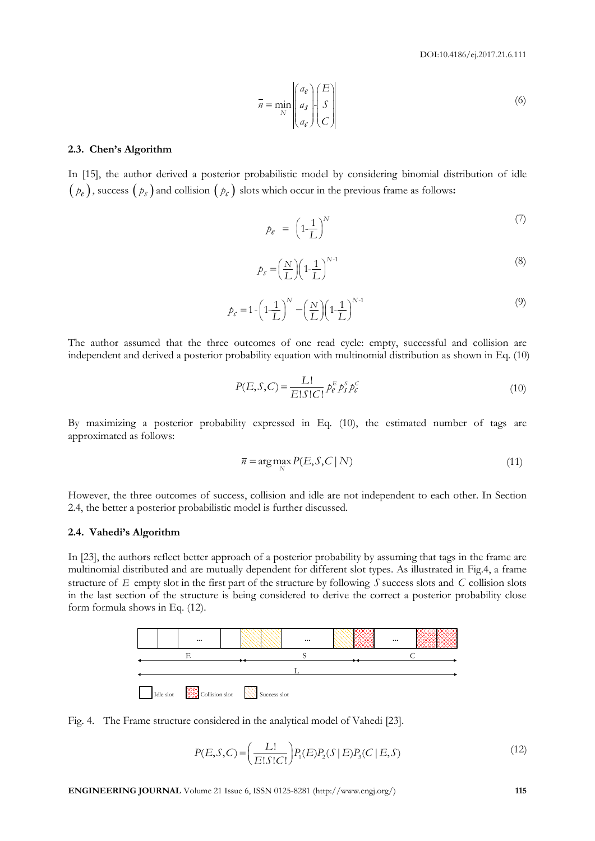DOI:10.4186/ej.2017.21.6.111

$$
\bar{n} = \min_{N} \begin{pmatrix} a_e \\ a_s \\ a_c \end{pmatrix} \begin{pmatrix} E \\ S \\ C \end{pmatrix}
$$
 (6)

#### **2.3. Chen's Algorithm**

In [15], the author derived a posterior probabilistic model by considering binomial distribution of idle  $(\rho_e)$ , success  $(\rho_s)$  and collision  $(\rho_c)$  slots which occur in the previous frame as follows:

$$
p_e = \left(1 - \frac{1}{L}\right)^N \tag{7}
$$

$$
p_S = \left(\frac{N}{L}\right) \left(1 - \frac{1}{L}\right)^{N-1} \tag{8}
$$

$$
p_c = 1 - \left(1 - \frac{1}{L}\right)^N - \left(\frac{N}{L}\right)\left(1 - \frac{1}{L}\right)^{N-1}
$$
\n(9)

The author assumed that the three outcomes of one read cycle: empty, successful and collision are independent and derived a posterior probability equation with multinomial distribution as shown in Eq. (10)

$$
P(E, S, C) = \frac{L!}{E!S!C!} p_e^E p_s^S p_c^C
$$
\n(10)

By maximizing a posterior probability expressed in Eq. (10), the estimated number of tags are approximated as follows:

$$
\overline{n} = \arg\max_{N} P(E, S, C \mid N)
$$
\n(11)

However, the three outcomes of success, collision and idle are not independent to each other. In Section 2.4, the better a posterior probabilistic model is further discussed.

#### **2.4. Vahedi's Algorithm**

In [23], the authors reflect better approach of a posterior probability by assuming that tags in the frame are multinomial distributed and are mutually dependent for different slot types. As illustrated in Fig.4, a frame structure of *E* empty slot in the first part of the structure by following *S* success slots and *C* collision slots in the last section of the structure is being considered to derive the correct a posterior probability close form formula shows in Eq. (12).



Fig. 4. The Frame structure considered in the analytical model of Vahedi [23].

$$
P(E, S, C) = \left(\frac{L!}{E!S!C!}\right) P_1(E) P_2(S | E) P_3(C | E, S) \tag{12}
$$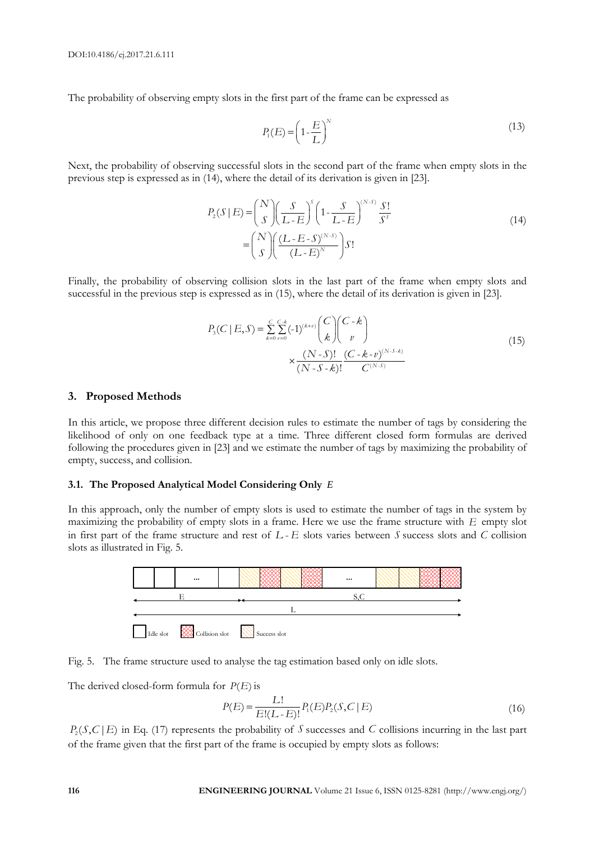The probability of observing empty slots in the first part of the frame can be expressed as

$$
P_1(E) = \left(1 - \frac{E}{L}\right)^N\tag{13}
$$

Next, the probability of observing successful slots in the second part of the frame when empty slots in the previous step is expressed as in (14), where the detail of its derivation is given in [23].

$$
P_2(S \mid E) = {N \choose S} \left(\frac{S}{L - E}\right)^s \left(1 - \frac{S}{L - E}\right)^{(N - S)} \frac{S!}{S^s}
$$
  
=  ${N \choose S} \left(\frac{(L - E - S)^{(N - S)}}{(L - E)^N}\right) S!$  (14)

Finally, the probability of observing collision slots in the last part of the frame when empty slots and successful in the previous step is expressed as in (15), where the detail of its derivation is given in [23].

$$
P_3(C \mid E, S) = \sum_{k=0}^{C} \sum_{\nu=0}^{C-k} (-1)^{(k+\nu)} \binom{C}{k} \binom{C-k}{\nu}
$$
  
 
$$
\times \frac{(N \cdot S)!}{(N \cdot S \cdot k)!} \frac{(C-k \cdot \nu)^{(N \cdot S \cdot k)}}{C^{(N \cdot S)}}
$$
(15)

#### **3. Proposed Methods**

In this article, we propose three different decision rules to estimate the number of tags by considering the likelihood of only on one feedback type at a time. Three different closed form formulas are derived following the procedures given in [23] and we estimate the number of tags by maximizing the probability of empty, success, and collision.

#### **3.1. The Proposed Analytical Model Considering Only**  *E*

In this approach, only the number of empty slots is used to estimate the number of tags in the system by maximizing the probability of empty slots in a frame. Here we use the frame structure with *E* empty slot in first part of the frame structure and rest of  $L$ - $E$  slots varies between  $S$  success slots and  $C$  collision slots as illustrated in Fig. 5.





The derived closed-form formula for  $P(E)$  is

$$
P(E) = \frac{L!}{E!(L-E)!} P_1(E) P_2(S, C | E)
$$
\n(16)

 $P_2(S, C | E)$  in Eq. (17) represents the probability of S successes and C collisions incurring in the last part of the frame given that the first part of the frame is occupied by empty slots as follows: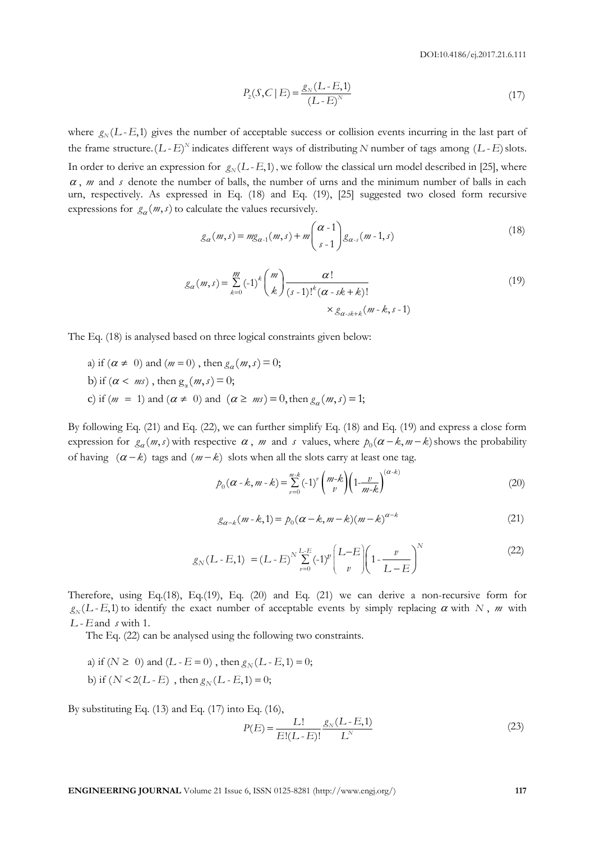$$
P_2(S, C | E) = \frac{g_N (L - E, 1)}{(L - E)^N}
$$
\n(17)

where  $g_N(L-E,1)$  gives the number of acceptable success or collision events incurring in the last part of the frame structure.  $(L - E)^N$  indicates different ways of distributing N number of tags among  $(L - E)$  slots. In order to derive an expression for  $g_N(L$ -E,1), we follow the classical urn model described in [25], where  $\alpha$ ,  $m$  and  $s$  denote the number of balls, the number of urns and the minimum number of balls in each urn, respectively. As expressed in Eq. (18) and Eq. (19), [25] suggested two closed form recursive expressions for  $g_{\alpha}(m, s)$  to calculate the values recursively.

18. The value of the values recursively:

\n
$$
g_{\alpha}(m, s) = mg_{\alpha-1}(m, s) + m \binom{\alpha - 1}{s - 1} g_{\alpha-s}(m - 1, s)
$$
\n(18)

$$
g_{\alpha}(m, s) = \sum_{k=0}^{m} (-1)^{k} {m \choose k} \frac{\alpha!}{(s-1)!^{k} (\alpha - sk + k)!}
$$
  
×  $g_{\alpha - sk + k}(m - k, s - 1)$  (19)

The Eq. (18) is analysed based on three logical constraints given below:

 $\alpha < m s$ ), then  $g_{\alpha}$ Eq. (18) is analysed based on the<br>a) if  $(\alpha \neq 0)$  and  $(m = 0)$ , then if  $(\alpha \neq 0)$  and  $(m =$ <br>if  $(\alpha < ms)$ , then g b) if  $(\alpha < m_s)$ , then  $g_\alpha(m, s) = 0$ ;<br>
c) if  $(m = 1)$  and  $(\alpha \neq 0)$  and  $(\alpha \geq m_s) = 0$ , then  $g_\alpha(m, s) = 1$ ; logical con<br>  $(m, s) = 0;$ a) if  $(\alpha \neq 0)$  and  $(m = 0)$ , then  $g_{\alpha}$ <br>b) if  $(\alpha < m s)$ , then  $g_{\alpha}(m, s) = 0$ ; *m* = 0), then  $g_{\alpha}(m, s)$ *m s* 18) is analysed based on three<br>  $\alpha \neq 0$ ) and  $(m = 0)$ , then  $g_{\alpha}$  $(m - b)$ , then  $g_{\alpha}(m, s) = 0$ ;<br>  $(m, s) = 0$ ;<br>  $(m, s) = 1$ ) and  $(\alpha \neq 0)$  and  $(\alpha \geq m s) = 0$ , then  $g_{\alpha}(m, s) = 1$ ;

By following Eq. (21) and Eq. (22), we can further simplify Eq. (18) and Eq. (19) and express a close form expression for  $g_{\alpha}(m, s)$  with respective  $\alpha$ , m and s values, where  $p_0(\alpha - k, m - k)$  shows the probability of having  $(\alpha - k)$  tags and  $(m - k)$  slots when all the slots carry at least one tag.

$$
p_0(\alpha - k, m - k) = \sum_{v=0}^{m-k} (-1)^v \binom{m-k}{v} \left(1 - \frac{v}{m-k}\right)^{(\alpha - k)}
$$
(20)

$$
g_{\alpha-k}(m-k,1) = p_0(\alpha-k,m-k)(m-k)^{\alpha-k}
$$
 (21)

$$
g_N(L-E,1) = (L-E)^N \sum_{v=0}^{L-E} (-1)^v \left(\frac{L-E}{v}\right) \left(1 - \frac{v}{L-E}\right)^N
$$
(22)

Therefore, using Eq.(18), Eq.(19), Eq. (20) and Eq. (21) we can derive a non-recursive form for  $g_N(L-E,1)$  to identify the exact number of acceptable events by simply replacing  $\alpha$  with N, m with  $L$ - $E$  and  $s$  with 1.

The Eq. (22) can be analysed using the following two constraints.

The Eq. (22) can be analysed using the following two constant of  $N$  and  $(L - E = 0)$ , then  $g_N(L - E, 1) = 0$ ; a) if  $(N \ge 0)$  and  $(L - E = 0)$ , then  $g_N(L - E, 1)$ <br>b) if  $(N < 2(L - E)$ , then  $g_N(L - E, 1) = 0$ ;

By substituting Eq.  $(13)$  and Eq.  $(17)$  into Eq.  $(16)$ ,

$$
P(E) = \frac{L!}{E!(L-E)!} \frac{g_N(L-E,1)}{L^N}
$$
 (23)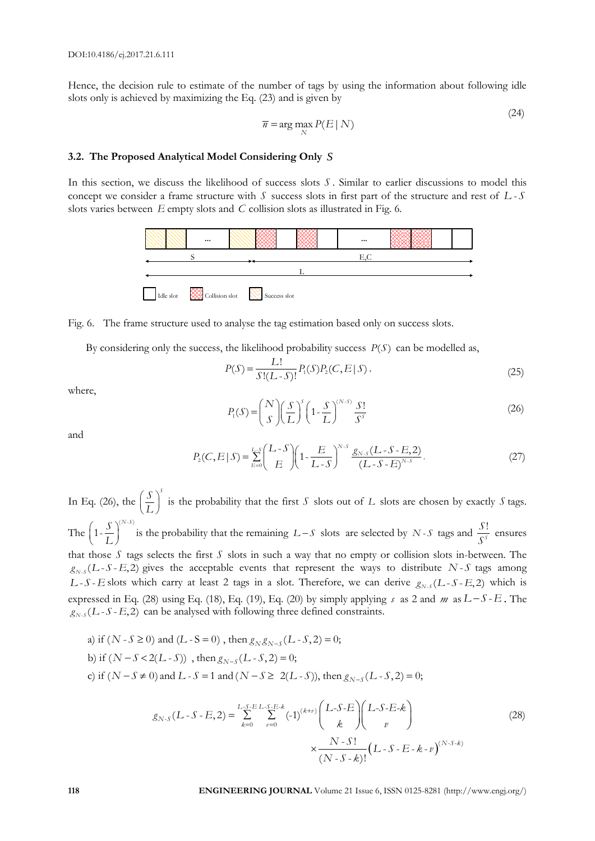Hence, the decision rule to estimate of the number of tags by using the information about following idle slots only is achieved by maximizing the Eq. (23) and is given by

$$
\overline{n} = \arg\max_{N} P(E \mid N)
$$
\n(24)

# **3.2. The Proposed Analytical Model Considering Only**  *S*

In this section, we discuss the likelihood of success slots *S* . Similar to earlier discussions to model this concept we consider a frame structure with S success slots in first part of the structure and rest of L-S slots varies between E empty slots and C collision slots as illustrated in Fig. 6.





By considering only the success, the likelihood probability success  $P(S)$  can be modelled as,

$$
P(S) = \frac{L!}{S!(L-S)!} P_1(S)P_2(C, E \mid S),\tag{25}
$$

where,

$$
P_1(S) = {N \choose S} \left(\frac{S}{L}\right)^S \left(1 - \frac{S}{L}\right)^{(N-S)} \frac{S!}{S^S}
$$
 (26)

and

$$
P_2(C, E \mid S) = \sum_{E=0}^{L \cdot S} \left( \frac{L \cdot S}{E} \right) \left( 1 - \frac{E}{L \cdot S} \right)^{N \cdot S} \frac{g_{N \cdot S} (L \cdot S \cdot E, 2)}{(L \cdot S \cdot E)^{N \cdot S}}.
$$
(27)

In Eq. (26), the  $\left(\frac{S}{L}\right)^{s}$  $\left(\frac{S}{L}\right)$  is the probability that the first *S* slots out of *L* slots are chosen by exactly *S* tags. The  $\left(1-\frac{S}{L}\right)^{(N-S)}$  $\left(1-\frac{S}{I}\right)^{(N-S)}$  $\frac{S}{L}\Big|_{t=0}^{N-3}$  is the probability that the remaining  $L-S$  slots are selected by  $N-S$  tags and  $\frac{S}{S^{s}}$ *S S*  $\frac{S}{S^s}$  ensures that those  $S$  tags selects the first  $S$  slots in such a way that no empty or collision slots in-between. The  $g_{N-S}(L-S-E, 2)$  gives the acceptable events that represent the ways to distribute N-S tags among  $L-S-E$  slots which carry at least 2 tags in a slot. Therefore, we can derive  $g_{N-S}(L-S-E,2)$  which is expressed in Eq. (28) using Eq. (18), Eq. (19), Eq. (20) by simply applying  $s$  as 2 and  $m$  as  $L-S-E$ . The  $g_{N-s}(L-S-E,2)$  can be analysed with following three defined constraints.<br>a) if  $(N-S \ge 0)$  and  $(L-S=0)$ , then  $g_{N}g_{N-s}(L-S,2) = 0$ ;

a) if 
$$
(N-S \ge 0)
$$
 and  $(L-S = 0)$ , then  $g_N g_{N-S}(L-S, 2) = 0$ ;  
\nb) if  $(N-S < 2(L-S))$ , then  $g_{N-S}(L-S, 2) = 0$ ;  
\nc) if  $(N-S \ne 0)$  and  $L-S = 1$  and  $(N-S \ge 2(L-S))$ , then  $g_{N-S}(L-S, 2) = 0$ ;  
\n $g_{N-S}(L-S-E, 2) = \sum_{r=S-E}^{L-S-E} \sum_{r=0}^{K} (-1)^{(k+r)} \left( \sum_{r=0}^{K-S-E-k} \right)$ 

$$
g_{N-S}(L-S=1 \text{ and } (N-S \ge 2(L-S)), \text{ then } g_{N-S}(L-S,2) = 0;
$$
\n
$$
g_{N-S}(L-S-E,2) = \sum_{k=0}^{L-S-E} \sum_{v=0}^{L-S-E-k} (-1)^{(k+v)} \binom{L-S-E}{k} \binom{L-S-E-k}{v}
$$
\n
$$
\times \frac{N-S!}{(N-S-k)!} (L-S-E-k-v)^{(N-S-k)}
$$
\n(28)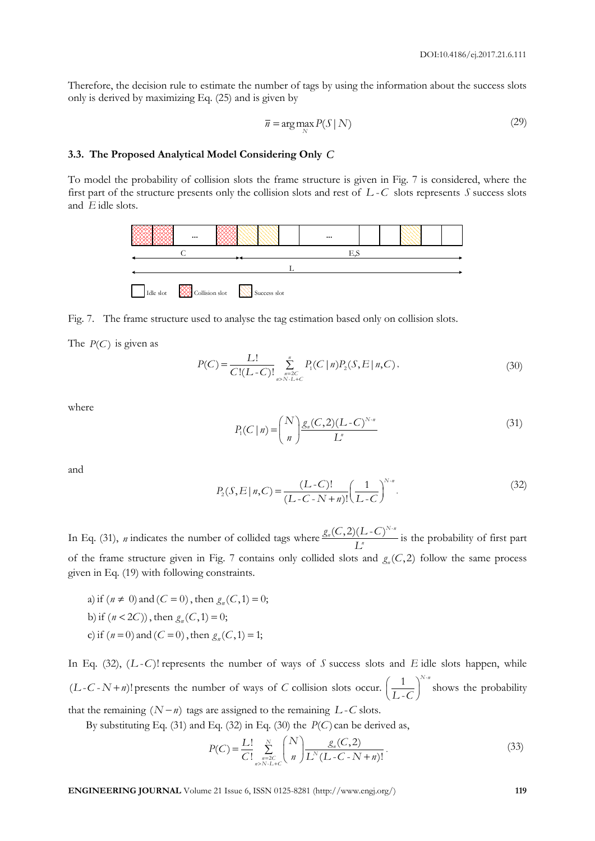Therefore, the decision rule to estimate the number of tags by using the information about the success slots only is derived by maximizing Eq. (25) and is given by

$$
\overline{n} = \arg\max_{N} P(S \mid N)
$$
\n(29)

# **3.3. The Proposed Analytical Model Considering Only**  *C*

To model the probability of collision slots the frame structure is given in Fig. 7 is considered, where the first part of the structure presents only the collision slots and rest of L-C slots represents S success slots and *E* idle slots.



Fig. 7. The frame structure used to analyse the tag estimation based only on collision slots.

The  $P(C)$  is given as

$$
P(C) = \frac{L!}{C!(L-C)!} \sum_{\substack{n=2C \ n>N\text{-}L+C}}^n P_1(C \mid n) P_2(S, E \mid n, C), \tag{30}
$$

where

$$
P_1(C \mid n) = {N \choose n} \frac{g_n(C, 2)(L - C)^{N \cdot n}}{L^n}
$$
 (31)

and

$$
P_2(S, E \mid n, C) = \frac{(L - C)!}{(L - C - N + n)!} \left(\frac{1}{L - C}\right)^{N - n}.
$$
\n(32)

In Eq. (31), *n* indicates the number of collided tags where  $\frac{g_n(C, 2)(L-C)^{N-n}}{I^n}$  $g_n(C,2)(L-C)$  $\frac{L}{L}$  is the probability of first part of the frame structure given in Fig. 7 contains only collided slots and  $g_n(C, 2)$  follow the same process given in Eq. (19) with following constraints.

a) if  $(n \neq 0)$  and  $(C = 0)$ , then  $g_n(C, 1) = 0$ ; a) if  $(n \neq 0)$  and  $(C = 0)$ , then  $g_n(C, 0)$ <br>b) if  $(n < 2C)$ ), then  $g_n(C, 1) = 0$ ; b) if  $(n < 2C)$ ), then  $g_n(C, 1) = 0$ ;<br>c) if  $(n = 0)$  and  $(C = 0)$ , then  $g_n(C, 1) = 1$ ;

In Eq.  $(32)$ ,  $(L-C)$ ! *represents the number of ways of S success slots and E idle slots happen, while*  $(L-C-N+n)!$  presents the number of ways of C collision slots occur.  $\left(\frac{1}{L-C}\right)^{N}$ - *N n*  $\left(\frac{1}{L-C}\right)$  shows the probability that the remaining  $(N - n)$  tags are assigned to the remaining  $L - C$  slots.

By substituting Eq. (31) and Eq. (32) in Eq. (30) the 
$$
P(C)
$$
 can be derived as,  
\n
$$
P(C) = \frac{L!}{C!} \sum_{n=2C}^{N} {N \choose n} \frac{g_n(C,2)}{L^N(L-C-N+n)!}.
$$
\n(33)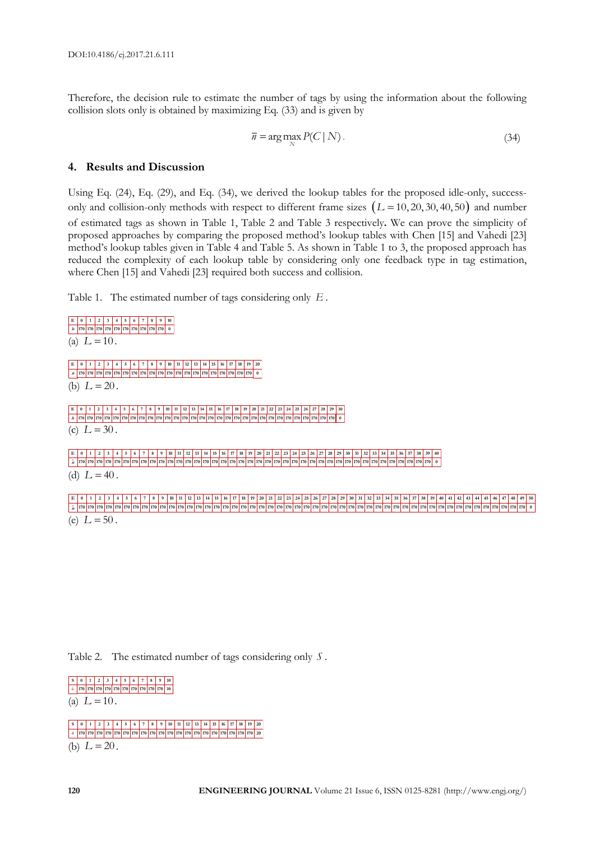Therefore, the decision rule to estimate the number of tags by using the information about the following collision slots only is obtained by maximizing Eq. (33) and is given by

$$
\overline{n} = \arg\max_{N} P(C \mid N). \tag{34}
$$

**0 50**

# **4. Results and Discussion**

Using Eq. (24), Eq. (29), and Eq. (34), we derived the lookup tables for the proposed idle-only, successonly and collision-only methods with respect to different frame sizes  $(L = 10, 20, 30, 40, 50)$  and number of estimated tags as shown in Table 1, Table 2 and Table 3 respectively**.** We can prove the simplicity of proposed approaches by comparing the proposed method's lookup tables with Chen [15] and Vahedi [23] method's lookup tables given in Table 4 and Table 5. As shown in Table 1 to 3, the proposed approach has reduced the complexity of each lookup table by considering only one feedback type in tag estimation, where Chen [15] and Vahedi [23] required both success and collision.

Table 1. The estimated number of tags considering only *E* .

```
(a) L = 10.
(b) L = 20.
(c) L = 30.
(d) L = 40.
(e) L = 50.
  ˆ
     0
    170
 E 2 3 4 5 6 7 8 9 10
        170
         1
  n 170 170 170 170 170 170 170 170 0
  ˆ
nˆ 170 170 170 170 170 170 170 170 170 170 170 170 170 170 170 170 170 170 170 170 0
E 0 1 2 3 4 5 6 7 8 9 10 11 12 13 14 15 16 17 18 19 20
 E 0 1 2 3 4 5 6 7 8 9 10 11 2 3 4 5 6 7 8 9 10 11 2 3 4 5 6 7 8 9 10 11 2 4 5 6 7 8 9 10 11 2 5 6 7 
 nˆ 170 170 170 170 170 170 170 170 170 170 170 170 170 170 170 170 170 170 170 170 170 170 170 170 170 170 170 170 170 170 0
E 0 1 2 3 4 5 6 7 8 9 10 11 2 3 4 5 6 7 8 9 10 12 3 4 5 6 7 8 9 20 14 15 6 7 8 9 20 21 22 23 24 25 26 27 28 29 30 31 32 33 34 35 36 37
0 | 10 | 170 | 170 | 170 | 170 | 170 | 170 | 170 | 170 | 170 | 170 | 170 | 170 | 170 | 170 | 170 | 170 | 170 | 170 | 170 | 170 | 170 | 170 | 170 | 170 | 170 | 170 | 170 | 170 | 170 | 170 | 170 | 170 | 170 | 170 | 170 | 170 
E 0 1 2 3 4 5 6 7 8 9 10 11 2 3 4 5 6 7 8 9 10 11 2 3 4 5 6 7 8 9 10 11 2 3 4 5 7 8 7 8 7 8 7 8 7 8 7 8 7 8 9 9 0 1 2 3 4 5 6 7 8 9 0 1 2 4 5 6 7 8 9 40 41 42 43 4 4 5 6 7 8 9 0 1
nˆ 170 170 170 170 170 170 170 170 170 170 170 170 170 170 170 170 170 170 170 170 170 170 170 170 170 170 170 170 170 170 170 170 170 170 170 170 170 170 170 170 170 170 170 170 170 170 170 170 170 170
```
Table 2. The estimated number of tags considering only *S* .



(b)  $L = 20$ . **S 0 1 2 3 4 5 6 7 8 9 10 11 12 13 14 15 16 17 18 19 20** *û* | 170 | 170 | 170 | 170 | 170 | 170 | 170 | 170 | 170 | 170 | 170 | 170 | 170 | 170 | 170 | 170 | 170 | 170 | 170 | 170 | 20 |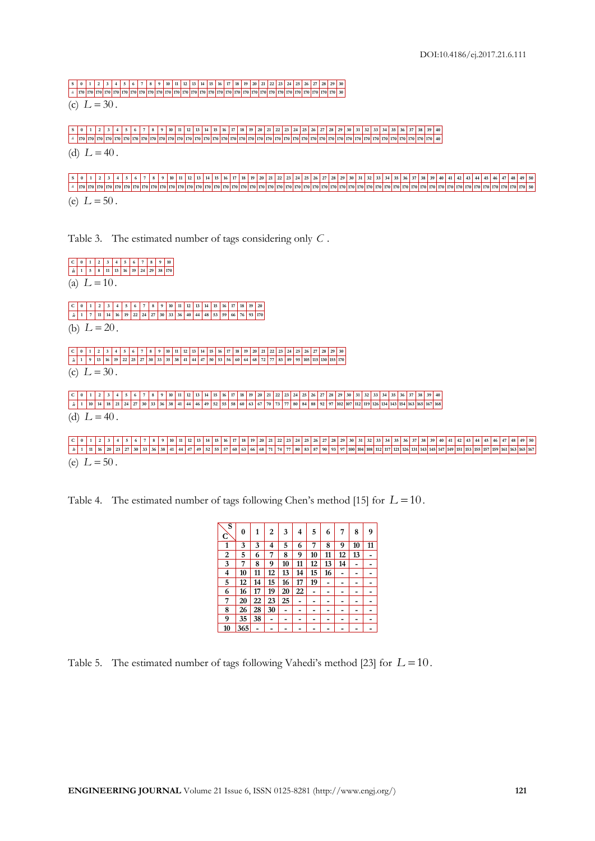S | 0 | 1 | 2 | 3 | 4 | 5 | 6 | 7 | 8 | 9 | 10 | 11 | 12 | 13 | 14 | 15 | 16 | 17 | 18 | 19 | 20 | 21 | 22 | 23 | 24 | 25 | 26 | 27 | 28 | 29 | 30 | | 170 | 170 | 170 | 170 | 170 | 170 | 170 | 170 | 170 | 170 | 170 | 170 | 170 | 170 | 170 | 170 | 170 | 170 | 170 | 170 | 170 | 170 | 170 | 170 | 170 | 170 | 170 | 170 | 170 | 170 | 170

(c)  $L = 30$ .

(d)  $L = 40$ . S | 0 | 1 | 2 | 3 | 4 | 5 | 6 | 7 | 8 | 9 | 10 | 11 | 12 | 13 | 14 | 15 | 16 | 17 | 18 | 19 | 20 | 21 | 22 | 23 | 24 | 25 | 26 | 27 | 28 | 29 | 30 | 31 | 32 | 33 | 34 | 35 | 36 | 37 | 38 | 39 | 40 | *n* ˆ **170 170 170 170 170 170 170 170 170 170 170 170 170 170 170 170 170 170 170 170 170 170 170 170 170 170 170 170 170 170 170 170 170 170 170 170 170 170 170 170 40**

(e)  $L = 50$ . **S 0 1 2 3 4 5 6 7 8 9 10 11 12 13 14 15 16 17 18 19 20 21 22 23 24 25 26 27 28 29 30 31 32 33 34 35 36 37 38 39 40 41 42 43 44 45 46 47 48 49 50 50** *n* ˆ **170 170 170 170 170 170 170 170 170 170 170 170 170 170 170 170 170 170 170 170 170 170 170 170 170 170 170 170 170 170 170 170 170 170 170 170 170 170 170 170 170 170 170 170 170 170 170 170 170 170**

Table 3. The estimated number of tags considering only *C* .

(a)  $L = 10$ . (b)  $L = 20$ . (c)  $L = 30$ . (d)  $L = 40$ . **0 1 C 2 3 4 5 6 7 8 9 10 5 1** *n***ˆ 8 11 13 16 19 24 29 38 170 0 1 C 2 3 4 5 6 7 8 9 10 11 12 13 14 15 16 17 18 19 20 7 1 <sup>n</sup>ˆ 11 14 16 19 22 24 27 30 33 36 40 44 48 53 59 66 76 93 170 0 1**  $C \begin{bmatrix} 0 & 1 & 2 & 3 & 4 & 5 & 6 & 7 & 8 & 9 & 10 & 11 & 12 & 13 & 14 & 15 & 16 & 17 & 18 & 19 & 20 & 21 & 22 & 23 & 24 & 25 & 26 & 27 & 28 & 29 & 30 \end{bmatrix}$ **9 1**  $\hat{n}$  | 1 | 9 | 13 | 16 | 19 | 22 | 25 | 27 | 30 | 33 | 35 | 38 | 41 | 44 | 47 | 50 | 53 | 56 | 60 | 64 | 68 | 72 | 77 | 83 | 89 | 95 | 105 | 115 | 130 | 155 | 170 | **0 1** C | 0 | 1 | 2 | 3 | 4 | 5 | 6 | 7 | 8 | 9 | 10 | 11 | 12 | 13 | 14 | 15 | 16 | 17 | 18 | 19 | 20 | 21 | 22 | 23 | 24 | 25 | 26 | 27 | 28 | 29 | 30 | 31 | 32 | 33 | 34 | 35 | 36 | 37 | 38 | 39 | 40 | **10 1** *n* | 1 | 10 | 14 | 18 | 21 | 24 | 27 | 30 | 33 | 36 | 38 | 41 | 44 | 46 | 49 | 52 | 55 | 58 | 60 | 63 | 67 | 70 | 73 | 77 | 80 | 84 | 88 | 92 | 97 | 102 | 107 | 112 | 119 | 126 | 134 | 143 | 154 | 163 | 163 | 165 | 167 |

(e)  $L = 50$ . **0 1** C 0 1 2 3 4 5 6 7 8 9 40 41 42 43 44 5 6 7 8 9 10 11 2 3 44 5 6 7 1 3 44 5 6 7 8 9 10 11 2 3 4 5 6 7 7 8 6 7 8 9 20 21 22 23 24 25 26 27 28 29 30 31 32 33 34 35 36 37 38 39 40 41 42 43 44 5 **165 163 11 1** â | 1 | 11 | 16 | 20 | 23 | 27 | 30 | 33 | 36 | 38 | 41 | 44 | 47 | 49 | 52 | 55 | 57 | 60 | 63 | 66 | 68 | 71 | 74 | 77 | 80 | 83 | 87 | 90 | 93 | 97 | 100 | 104 | 108 | 112 | 117 | 121 | 121 | 121 | 123 | 134 | 143 | **48 49 50**

Table 4. The estimated number of tags following Chen's method [15] for  $L = 10$ .

| s<br>C | 0   | 1  | 2  | 3  | 4  | 5  | 6  | 7  | 8  | 9  |
|--------|-----|----|----|----|----|----|----|----|----|----|
| 1      | 3   | 3  | 4  | 5  | 6  | 7  | 8  | 9  | 10 | 11 |
| 2      | 5   | 6  | 7  | 8  | 9  | 10 | 11 | 12 | 13 |    |
| 3      | 7   | 8  | 9  | 10 | 11 | 12 | 13 | 14 |    |    |
| 4      | 10  | 11 | 12 | 13 | 14 | 15 | 16 | -  |    |    |
| 5      | 12  | 14 | 15 | 16 | 17 | 19 |    |    |    |    |
| 6      | 16  | 17 | 19 | 20 | 22 |    |    |    |    |    |
| 7      | 20  | 22 | 23 | 25 |    |    |    |    |    |    |
| 8      | 26  | 28 | 30 |    |    |    |    |    |    |    |
| 9      | 35  | 38 |    |    |    |    |    |    |    |    |
| 10     | 365 |    |    |    |    |    |    |    |    |    |

Table 5. The estimated number of tags following Vahedi's method [23] for  $L = 10$ .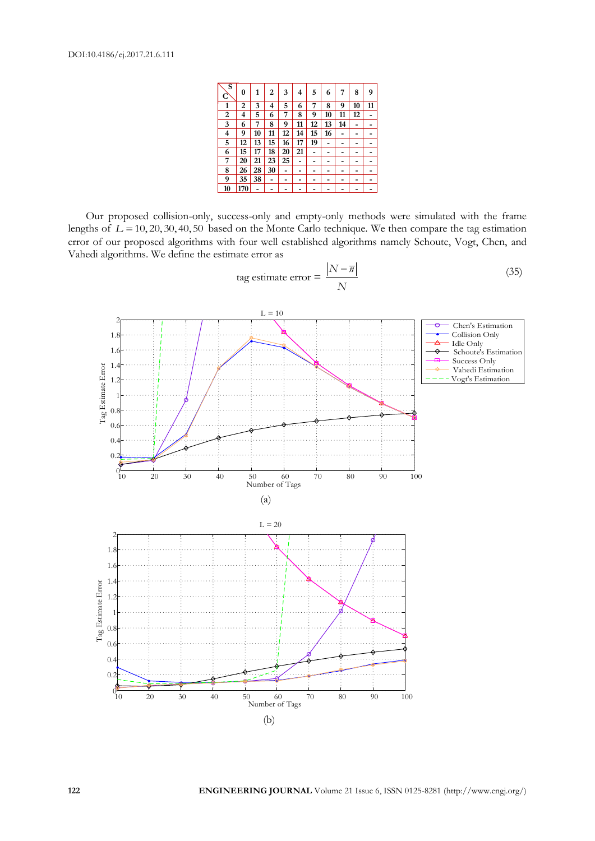| s<br>C | 0   | 1  | 2  | 3  | 4  | 5  | 6              | 7  | 8  | 9  |
|--------|-----|----|----|----|----|----|----------------|----|----|----|
| 1      | 2   | 3  | 4  | 5  | 6  | 7  | 8              | 9  | 10 | 11 |
| 2      | 4   | 5  | 6  | 7  | 8  | 9  | 10             | 11 | 12 |    |
| 3      | 6   | 7  | 8  | 9  | 11 | 12 | 13             | 14 |    |    |
| 4      | 9   | 10 | 11 | 12 | 14 | 15 | 16             |    |    |    |
| 5      | 12  | 13 | 15 | 16 | 17 | 19 | $\overline{a}$ |    |    |    |
| 6      | 15  | 17 | 18 | 20 | 21 | -  | -              |    |    |    |
| 7      | 20  | 21 | 23 | 25 | -  | -  | -              |    |    |    |
| 8      | 26  | 28 | 30 | -  | -  | -  | -              |    | -  |    |
| 9      | 35  | 38 | -  |    |    |    |                |    | -  |    |
| 10     | 170 |    |    |    |    |    |                |    |    |    |

Our proposed collision-only, success-only and empty-only methods were simulated with the frame lengths of  $L = 10, 20, 30, 40, 50$  based on the Monte Carlo technique. We then compare the tag estimation error of our proposed algorithms with four well established algorithms namely Schoute, Vogt, Chen, and Vahedi algorithms. We define the estimate error as

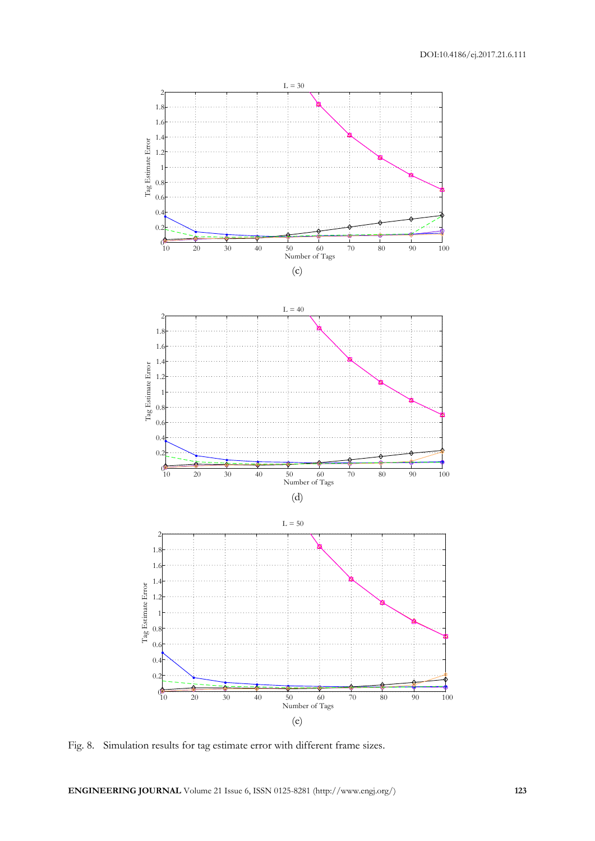

Fig. 8. Simulation results for tag estimate error with different frame sizes.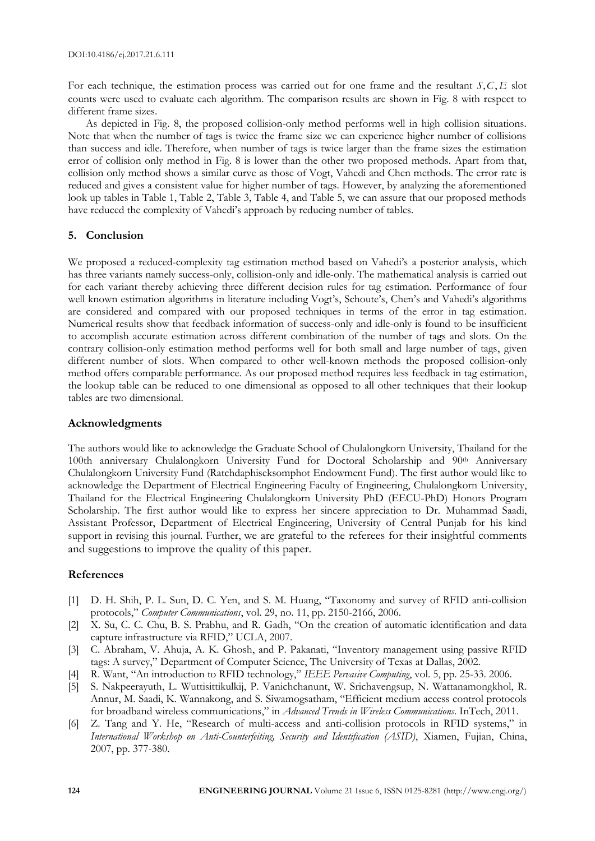For each technique, the estimation process was carried out for one frame and the resultant S, C, E slot counts were used to evaluate each algorithm. The comparison results are shown in Fig. 8 with respect to different frame sizes.

As depicted in Fig. 8, the proposed collision-only method performs well in high collision situations. Note that when the number of tags is twice the frame size we can experience higher number of collisions than success and idle. Therefore, when number of tags is twice larger than the frame sizes the estimation error of collision only method in Fig. 8 is lower than the other two proposed methods. Apart from that, collision only method shows a similar curve as those of Vogt, Vahedi and Chen methods. The error rate is reduced and gives a consistent value for higher number of tags. However, by analyzing the aforementioned look up tables in Table 1, Table 2, Table 3, Table 4, and Table 5, we can assure that our proposed methods have reduced the complexity of Vahedi's approach by reducing number of tables.

# **5. Conclusion**

We proposed a reduced-complexity tag estimation method based on Vahedi's a posterior analysis, which has three variants namely success-only, collision-only and idle-only. The mathematical analysis is carried out for each variant thereby achieving three different decision rules for tag estimation. Performance of four well known estimation algorithms in literature including Vogt's, Schoute's, Chen's and Vahedi's algorithms are considered and compared with our proposed techniques in terms of the error in tag estimation. Numerical results show that feedback information of success-only and idle-only is found to be insufficient to accomplish accurate estimation across different combination of the number of tags and slots. On the contrary collision-only estimation method performs well for both small and large number of tags, given different number of slots. When compared to other well-known methods the proposed collision-only method offers comparable performance. As our proposed method requires less feedback in tag estimation, the lookup table can be reduced to one dimensional as opposed to all other techniques that their lookup tables are two dimensional.

# **Acknowledgments**

The authors would like to acknowledge the Graduate School of Chulalongkorn University, Thailand for the 100th anniversary Chulalongkorn University Fund for Doctoral Scholarship and 90th Anniversary Chulalongkorn University Fund (Ratchdaphiseksomphot Endowment Fund). The first author would like to acknowledge the Department of Electrical Engineering Faculty of Engineering, Chulalongkorn University, Thailand for the Electrical Engineering Chulalongkorn University PhD (EECU-PhD) Honors Program Scholarship. The first author would like to express her sincere appreciation to Dr. Muhammad Saadi, Assistant Professor, Department of Electrical Engineering, University of Central Punjab for his kind support in revising this journal. Further, we are grateful to the referees for their insightful comments and suggestions to improve the quality of this paper.

# **References**

- [1] D. H. Shih, P. L. Sun, D. C. Yen, and S. M. Huang, "Taxonomy and survey of RFID anti-collision protocols," *Computer Communications*, vol. 29, no. 11, pp. 2150-2166, 2006.
- [2] X. Su, C. C. Chu, B. S. Prabhu, and R. Gadh, "On the creation of automatic identification and data capture infrastructure via RFID," UCLA, 2007.
- [3] C. Abraham, V. Ahuja, A. K. Ghosh, and P. Pakanati, "Inventory management using passive RFID tags: A survey," Department of Computer Science, The University of Texas at Dallas, 2002.
- [4] R. Want, "An introduction to RFID technology," *IEEE Pervasive Computing*, vol. 5, pp. 25-33. 2006.
- [5] S. Nakpeerayuth, L. Wuttisittikulkij, P. Vanichchanunt, W. Srichavengsup, N. Wattanamongkhol, R. Annur, M. Saadi, K. Wannakong, and S. Siwamogsatham, "Efficient medium access control protocols for broadband wireless communications," in *Advanced Trends in Wireless Communications*. InTech, 2011.
- [6] Z. Tang and Y. He, "Research of multi-access and anti-collision protocols in RFID systems," in *International Workshop on Anti-Counterfeiting, Security and Identification (ASID)*, Xiamen, Fujian, China, 2007, pp. 377-380.